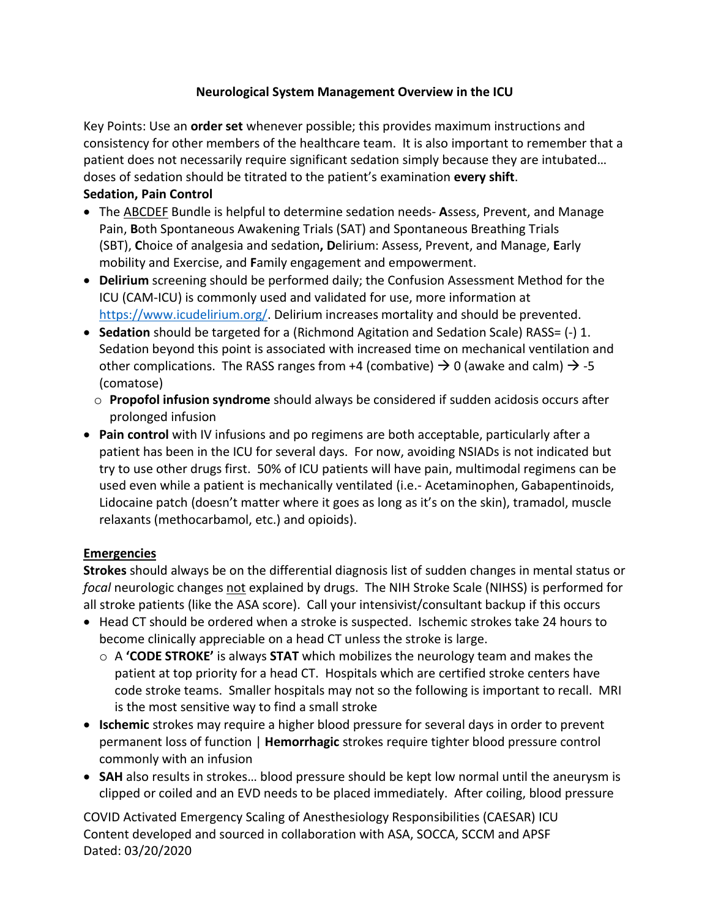## **Neurological System Management Overview in the ICU**

Key Points: Use an **order set** whenever possible; this provides maximum instructions and consistency for other members of the healthcare team. It is also important to remember that a patient does not necessarily require significant sedation simply because they are intubated… doses of sedation should be titrated to the patient's examination **every shift**. **Sedation, Pain Control**

- The ABCDEF Bundle is helpful to determine sedation needs- **A**ssess, Prevent, and Manage Pain, **B**oth Spontaneous Awakening Trials (SAT) and Spontaneous Breathing Trials (SBT), **C**hoice of analgesia and sedation**, D**elirium: Assess, Prevent, and Manage, **E**arly mobility and Exercise, and **F**amily engagement and empowerment.
- **Delirium** screening should be performed daily; the Confusion Assessment Method for the ICU (CAM-ICU) is commonly used and validated for use, more information at https://www.icudelirium.org/. Delirium increases mortality and should be prevented.
- **Sedation** should be targeted for a (Richmond Agitation and Sedation Scale) RASS= (-) 1. Sedation beyond this point is associated with increased time on mechanical ventilation and other complications. The RASS ranges from +4 (combative)  $\rightarrow$  0 (awake and calm)  $\rightarrow$  -5 (comatose)
	- o **Propofol infusion syndrome** should always be considered if sudden acidosis occurs after prolonged infusion
- **Pain control** with IV infusions and po regimens are both acceptable, particularly after a patient has been in the ICU for several days. For now, avoiding NSIADs is not indicated but try to use other drugs first. 50% of ICU patients will have pain, multimodal regimens can be used even while a patient is mechanically ventilated (i.e.- Acetaminophen, Gabapentinoids, Lidocaine patch (doesn't matter where it goes as long as it's on the skin), tramadol, muscle relaxants (methocarbamol, etc.) and opioids).

## **Emergencies**

**Strokes** should always be on the differential diagnosis list of sudden changes in mental status or *focal* neurologic changes not explained by drugs. The NIH Stroke Scale (NIHSS) is performed for all stroke patients (like the ASA score). Call your intensivist/consultant backup if this occurs

- Head CT should be ordered when a stroke is suspected. Ischemic strokes take 24 hours to become clinically appreciable on a head CT unless the stroke is large.
	- o A **'CODE STROKE'** is always **STAT** which mobilizes the neurology team and makes the patient at top priority for a head CT. Hospitals which are certified stroke centers have code stroke teams. Smaller hospitals may not so the following is important to recall. MRI is the most sensitive way to find a small stroke
- **Ischemic** strokes may require a higher blood pressure for several days in order to prevent permanent loss of function | **Hemorrhagic** strokes require tighter blood pressure control commonly with an infusion
- **SAH** also results in strokes… blood pressure should be kept low normal until the aneurysm is clipped or coiled and an EVD needs to be placed immediately. After coiling, blood pressure

COVID Activated Emergency Scaling of Anesthesiology Responsibilities (CAESAR) ICU Content developed and sourced in collaboration with ASA, SOCCA, SCCM and APSF Dated: 03/20/2020